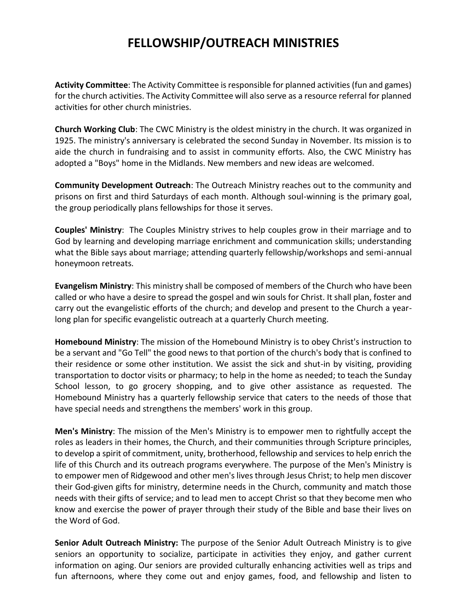## **FELLOWSHIP/OUTREACH MINISTRIES**

**Activity Committee**: The Activity Committee is responsible for planned activities (fun and games) for the church activities. The Activity Committee will also serve as a resource referral for planned activities for other church ministries.

**Church Working Club**: The CWC Ministry is the oldest ministry in the church. It was organized in 1925. The ministry's anniversary is celebrated the second Sunday in November. Its mission is to aide the church in fundraising and to assist in community efforts. Also, the CWC Ministry has adopted a "Boys" home in the Midlands. New members and new ideas are welcomed.

**Community Development Outreach**: The Outreach Ministry reaches out to the community and prisons on first and third Saturdays of each month. Although soul-winning is the primary goal, the group periodically plans fellowships for those it serves.

**Couples' Ministry**: The Couples Ministry strives to help couples grow in their marriage and to God by learning and developing marriage enrichment and communication skills; understanding what the Bible says about marriage; attending quarterly fellowship/workshops and semi-annual honeymoon retreats.

**Evangelism Ministry**: This ministry shall be composed of members of the Church who have been called or who have a desire to spread the gospel and win souls for Christ. It shall plan, foster and carry out the evangelistic efforts of the church; and develop and present to the Church a yearlong plan for specific evangelistic outreach at a quarterly Church meeting.

**Homebound Ministry**: The mission of the Homebound Ministry is to obey Christ's instruction to be a servant and "Go Tell" the good news to that portion of the church's body that is confined to their residence or some other institution. We assist the sick and shut-in by visiting, providing transportation to doctor visits or pharmacy; to help in the home as needed; to teach the Sunday School lesson, to go grocery shopping, and to give other assistance as requested. The Homebound Ministry has a quarterly fellowship service that caters to the needs of those that have special needs and strengthens the members' work in this group.

**Men's Ministry**: The mission of the Men's Ministry is to empower men to rightfully accept the roles as leaders in their homes, the Church, and their communities through Scripture principles, to develop a spirit of commitment, unity, brotherhood, fellowship and services to help enrich the life of this Church and its outreach programs everywhere. The purpose of the Men's Ministry is to empower men of Ridgewood and other men's lives through Jesus Christ; to help men discover their God-given gifts for ministry, determine needs in the Church, community and match those needs with their gifts of service; and to lead men to accept Christ so that they become men who know and exercise the power of prayer through their study of the Bible and base their lives on the Word of God.

**Senior Adult Outreach Ministry:** The purpose of the Senior Adult Outreach Ministry is to give seniors an opportunity to socialize, participate in activities they enjoy, and gather current information on aging. Our seniors are provided culturally enhancing activities well as trips and fun afternoons, where they come out and enjoy games, food, and fellowship and listen to